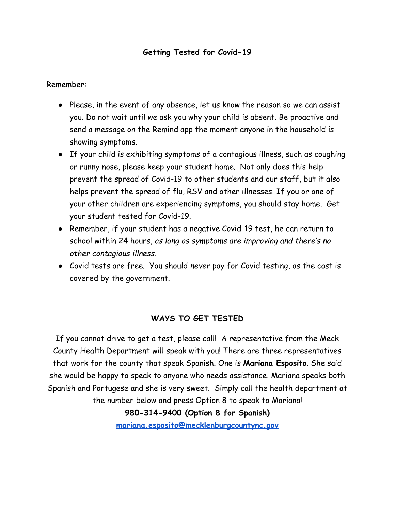## **Getting Tested for Covid-19**

Remember:

- Please, in the event of any absence, let us know the reason so we can assist you. Do not wait until we ask you why your child is absent. Be proactive and send a message on the Remind app the moment anyone in the household is showing symptoms.
- If your child is exhibiting symptoms of a contagious illness, such as coughing or runny nose, please keep your student home. Not only does this help prevent the spread of Covid-19 to other students and our staff, but it also helps prevent the spread of flu, RSV and other illnesses. If you or one of your other children are experiencing symptoms, you should stay home. Get your student tested for Covid-19.
- Remember, if your student has a negative Covid-19 test, he can return to school within 24 hours, *as long as symptoms are improving and there's no other contagious illness.*
- Covid tests are free. You should *never* pay for Covid testing, as the cost is covered by the government.

## **WAYS TO GET TESTED**

If you cannot drive to get a test, please call! A representative from the Meck County Health Department will speak with you! There are three representatives that work for the county that speak Spanish. One is **Mariana Esposito**. She said she would be happy to speak to anyone who needs assistance. Mariana speaks both Spanish and Portugese and she is very sweet. Simply call the health department at the number below and press Option 8 to speak to Mariana! **980-314-9400 (Option 8 for Spanish)**

**[mariana.esposito@mecklenburgcountync.gov](mailto:mariana.esposito@mecklenburgcountync.gov)**